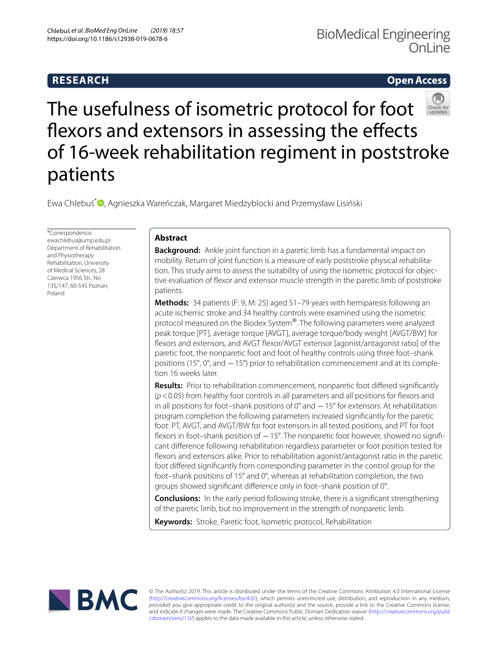# **RESEARCH**

# **Open Access**



The usefulness of isometric protocol for foot flexors and extensors in assessing the effects of 16‑week rehabilitation regiment in poststroke patients

Ewa Chlebuś<sup>\*</sup> [,](http://orcid.org/0000-0002-8248-2247) Agnieszka Wareńczak, Margaret Miedzyblocki and Przemysław Lisiński

\*Correspondence: ewachlebus@ump.edu.pl Department of Rehabilitation and Physiotherapy Rehabilitation, University of Medical Sciences, 28 Czerwca 1956 Str., No 135/147, 60‑545 Poznan, Poland

# **Abstract**

**Background:** Ankle joint function in a paretic limb has a fundamental impact on mobility. Return of joint function is a measure of early poststroke physical rehabilitation. This study aims to assess the suitability of using the isometric protocol for objective evaluation of fexor and extensor muscle strength in the paretic limb of poststroke patients.

**Methods:** 34 patients (F: 9, M: 25) aged 51–79 years with hemiparesis following an acute ischemic stroke and 34 healthy controls were examined using the isometric protocol measured on the Biodex System®. The following parameters were analyzed: peak torque [PT], average torque [AVGT], average torque/body weight [AVGT/BW] for fexors and extensors, and AVGT fexor/AVGT extensor [agonist/antagonist ratio] of the paretic foot, the nonparetic foot and foot of healthy controls using three foot–shank positions (15°,  $0^\circ$ , and  $-15^\circ$ ) prior to rehabilitation commencement and at its completion 16 weeks later.

**Results:** Prior to rehabilitation commencement, nonparetic foot difered signifcantly (*p*<0.05) from healthy foot controls in all parameters and all positions for fexors and in all positions for foot–shank positions of 0° and −15° for extensors. At rehabilitation program completion the following parameters increased signifcantly for the paretic foot: PT, AVGT, and AVGT/BW for foot extensors in all tested positions, and PT for foot flexors in foot–shank position of – 15°. The nonparetic foot however, showed no significant diference following rehabilitation regardless parameter or foot position tested for fexors and extensors alike. Prior to rehabilitation agonist/antagonist ratio in the paretic foot difered signifcantly from corresponding parameter in the control group for the foot–shank positions of 15° and 0°, whereas at rehabilitation completion, the two groups showed signifcant diference only in foot–shank position of 0°.

**Conclusions:** In the early period following stroke, there is a signifcant strengthening of the paretic limb, but no improvement in the strength of nonparetic limb.

**Keywords:** Stroke, Paretic foot, Isometric protocol, Rehabilitation



© The Author(s) 2019. This article is distributed under the terms of the Creative Commons Attribution 4.0 International License [\(http://creativecommons.org/licenses/by/4.0/](http://creativecommons.org/licenses/by/4.0/)), which permits unrestricted use, distribution, and reproduction in any medium, provided you give appropriate credit to the original author(s) and the source, provide a link to the Creative Commons license, and indicate if changes were made. The Creative Commons Public Domain Dedication waiver ([http://creativecommons.org/publi](http://creativecommons.org/publicdomain/zero/1.0/) [cdomain/zero/1.0/\)](http://creativecommons.org/publicdomain/zero/1.0/) applies to the data made available in this article, unless otherwise stated.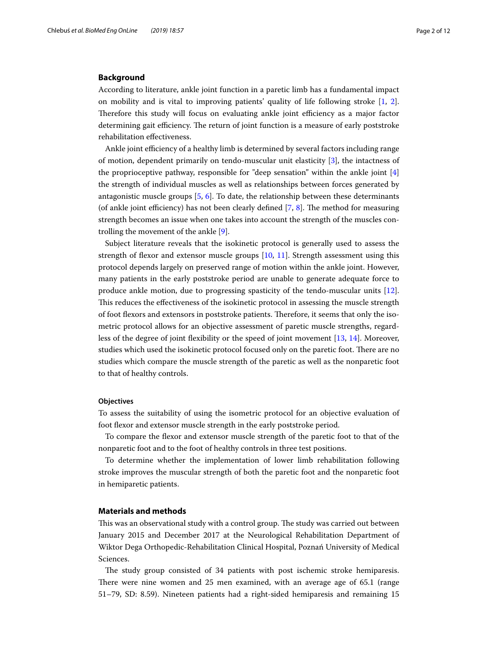#### **Background**

According to literature, ankle joint function in a paretic limb has a fundamental impact on mobility and is vital to improving patients' quality of life following stroke [[1,](#page-10-0) [2](#page-10-1)]. Therefore this study will focus on evaluating ankle joint efficiency as a major factor determining gait efficiency. The return of joint function is a measure of early poststroke rehabilitation efectiveness.

Ankle joint efficiency of a healthy limb is determined by several factors including range of motion, dependent primarily on tendo-muscular unit elasticity [[3\]](#page-10-2), the intactness of the proprioceptive pathway, responsible for "deep sensation" within the ankle joint [[4](#page-10-3)] the strength of individual muscles as well as relationships between forces generated by antagonistic muscle groups  $[5, 6]$  $[5, 6]$  $[5, 6]$  $[5, 6]$ . To date, the relationship between these determinants (of ankle joint efficiency) has not been clearly defined  $[7, 8]$  $[7, 8]$  $[7, 8]$ . The method for measuring strength becomes an issue when one takes into account the strength of the muscles controlling the movement of the ankle [\[9](#page-10-8)].

Subject literature reveals that the isokinetic protocol is generally used to assess the strength of fexor and extensor muscle groups [\[10,](#page-10-9) [11](#page-10-10)]. Strength assessment using this protocol depends largely on preserved range of motion within the ankle joint. However, many patients in the early poststroke period are unable to generate adequate force to produce ankle motion, due to progressing spasticity of the tendo-muscular units [\[12](#page-11-0)]. This reduces the effectiveness of the isokinetic protocol in assessing the muscle strength of foot flexors and extensors in poststroke patients. Therefore, it seems that only the isometric protocol allows for an objective assessment of paretic muscle strengths, regardless of the degree of joint fexibility or the speed of joint movement [[13](#page-11-1), [14](#page-11-2)]. Moreover, studies which used the isokinetic protocol focused only on the paretic foot. There are no studies which compare the muscle strength of the paretic as well as the nonparetic foot to that of healthy controls.

### **Objectives**

To assess the suitability of using the isometric protocol for an objective evaluation of foot flexor and extensor muscle strength in the early poststroke period.

To compare the fexor and extensor muscle strength of the paretic foot to that of the nonparetic foot and to the foot of healthy controls in three test positions.

To determine whether the implementation of lower limb rehabilitation following stroke improves the muscular strength of both the paretic foot and the nonparetic foot in hemiparetic patients.

## **Materials and methods**

This was an observational study with a control group. The study was carried out between January 2015 and December 2017 at the Neurological Rehabilitation Department of Wiktor Dega Orthopedic-Rehabilitation Clinical Hospital, Poznań University of Medical Sciences.

The study group consisted of 34 patients with post ischemic stroke hemiparesis. There were nine women and 25 men examined, with an average age of 65.1 (range 51–79, SD: 8.59). Nineteen patients had a right-sided hemiparesis and remaining 15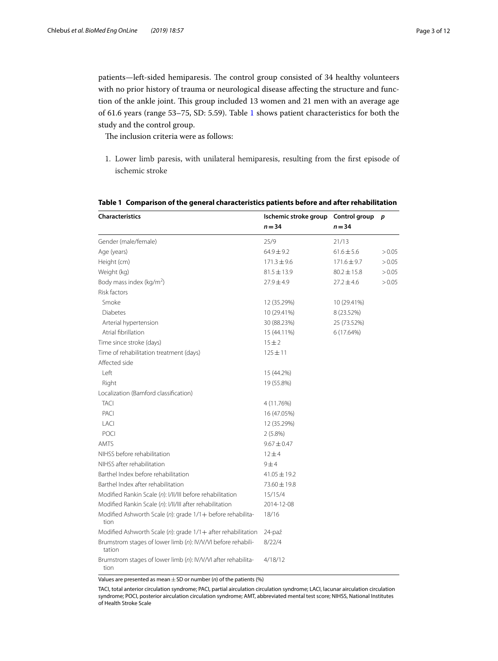patients—left-sided hemiparesis. The control group consisted of 34 healthy volunteers with no prior history of trauma or neurological disease afecting the structure and function of the ankle joint. This group included 13 women and 21 men with an average age of 61.6 years (range 53–75, SD: 5.59). Table [1](#page-2-0) shows patient characteristics for both the study and the control group.

The inclusion criteria were as follows:

1. Lower limb paresis, with unilateral hemiparesis, resulting from the frst episode of ischemic stroke

| <b>Characteristics</b>                                                 | Ischemic stroke group Control group |                 | p      |
|------------------------------------------------------------------------|-------------------------------------|-----------------|--------|
|                                                                        | $n = 34$                            | $n = 34$        |        |
| Gender (male/female)                                                   | 25/9                                | 21/13           |        |
| Age (years)                                                            | $64.9 \pm 9.2$                      | $61.6 \pm 5.6$  | > 0.05 |
| Height (cm)                                                            | $171.3 \pm 9.6$                     | $171.6 \pm 9.7$ | > 0.05 |
| Weight (kg)                                                            | $81.5 \pm 13.9$                     | $80.2 \pm 15.8$ | > 0.05 |
| Body mass index (kg/m <sup>2</sup> )                                   | $27.9 \pm 4.9$                      | $27.2 \pm 4.6$  | > 0.05 |
| Risk factors                                                           |                                     |                 |        |
| Smoke                                                                  | 12 (35.29%)                         | 10 (29.41%)     |        |
| <b>Diabetes</b>                                                        | 10 (29.41%)                         | 8 (23.52%)      |        |
| Arterial hypertension                                                  | 30 (88.23%)                         | 25 (73.52%)     |        |
| Atrial fibrillation                                                    | 15 (44.11%)                         | 6 (17.64%)      |        |
| Time since stroke (days)                                               | $15 + 2$                            |                 |        |
| Time of rehabilitation treatment (days)                                | $125 \pm 11$                        |                 |        |
| Affected side                                                          |                                     |                 |        |
| Left                                                                   | 15 (44.2%)                          |                 |        |
| Right                                                                  | 19 (55.8%)                          |                 |        |
| Localization (Bamford classification)                                  |                                     |                 |        |
| <b>TACI</b>                                                            | 4 (11.76%)                          |                 |        |
| PACI                                                                   | 16 (47.05%)                         |                 |        |
| <b>LACI</b>                                                            | 12 (35.29%)                         |                 |        |
| POCI                                                                   | 2(5.8%)                             |                 |        |
| <b>AMTS</b>                                                            | $9.67 \pm 0.47$                     |                 |        |
| NIHSS before rehabilitation                                            | $12 + 4$                            |                 |        |
| NIHSS after rehabilitation                                             | 9±4                                 |                 |        |
| Barthel Index before rehabilitation                                    | $41.05 \pm 19.2$                    |                 |        |
| Barthel Index after rehabilitation                                     | $73.60 \pm 19.8$                    |                 |        |
| Modified Rankin Scale (n): I/II/III before rehabilitation              | 15/15/4                             |                 |        |
| Modified Rankin Scale (n): I/II/III after rehabilitation               | 2014-12-08                          |                 |        |
| Modified Ashworth Scale (n): grade 1/1+ before rehabilita-<br>tion     | 18/16                               |                 |        |
| Modified Ashworth Scale (n): grade $1/1+$ after rehabilitation         | 24-paź                              |                 |        |
| Brumstrom stages of lower limb (n): IV/V/VI before rehabili-<br>tation | 8/22/4                              |                 |        |
| Brumstrom stages of lower limb (n): IV/V/VI after rehabilita-<br>tion  | 4/18/12                             |                 |        |

<span id="page-2-0"></span>**Table 1 Comparison of the general characteristics patients before and after rehabilitation**

Values are presented as mean±SD or number (*n*) of the patients (%)

TACI, total anterior circulation syndrome; PACI, partial airculation circulation syndrome; LACI, lacunar airculation circulation syndrome; POCI, posterior airculation circulation syndrome; AMT, abbreviated mental test score; NIHSS, National Institutes of Health Stroke Scale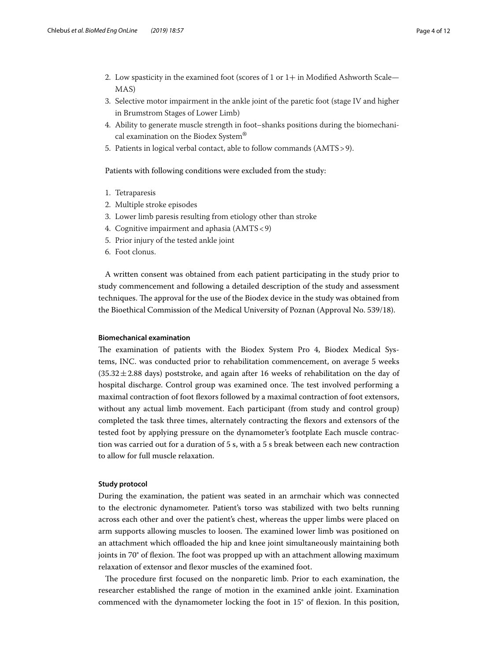- 2. Low spasticity in the examined foot (scores of 1 or  $1+$  in Modified Ashworth Scale— MAS)
- 3. Selective motor impairment in the ankle joint of the paretic foot (stage IV and higher in Brumstrom Stages of Lower Limb)
- 4. Ability to generate muscle strength in foot–shanks positions during the biomechanical examination on the Biodex System®
- 5. Patients in logical verbal contact, able to follow commands (AMTS>9).

Patients with following conditions were excluded from the study:

- 1. Tetraparesis
- 2. Multiple stroke episodes
- 3. Lower limb paresis resulting from etiology other than stroke
- 4. Cognitive impairment and aphasia (AMTS<9)
- 5. Prior injury of the tested ankle joint
- 6. Foot clonus.

A written consent was obtained from each patient participating in the study prior to study commencement and following a detailed description of the study and assessment techniques. The approval for the use of the Biodex device in the study was obtained from the Bioethical Commission of the Medical University of Poznan (Approval No. 539/18).

## **Biomechanical examination**

The examination of patients with the Biodex System Pro 4, Biodex Medical Systems, INC. was conducted prior to rehabilitation commencement, on average 5 weeks  $(35.32 \pm 2.88$  days) poststroke, and again after 16 weeks of rehabilitation on the day of hospital discharge. Control group was examined once. The test involved performing a maximal contraction of foot fexors followed by a maximal contraction of foot extensors, without any actual limb movement. Each participant (from study and control group) completed the task three times, alternately contracting the fexors and extensors of the tested foot by applying pressure on the dynamometer's footplate Each muscle contraction was carried out for a duration of 5 s, with a 5 s break between each new contraction to allow for full muscle relaxation.

#### **Study protocol**

During the examination, the patient was seated in an armchair which was connected to the electronic dynamometer. Patient's torso was stabilized with two belts running across each other and over the patient's chest, whereas the upper limbs were placed on arm supports allowing muscles to loosen. The examined lower limb was positioned on an attachment which offloaded the hip and knee joint simultaneously maintaining both joints in  $70^{\circ}$  of flexion. The foot was propped up with an attachment allowing maximum relaxation of extensor and fexor muscles of the examined foot.

The procedure first focused on the nonparetic limb. Prior to each examination, the researcher established the range of motion in the examined ankle joint. Examination commenced with the dynamometer locking the foot in 15° of fexion. In this position,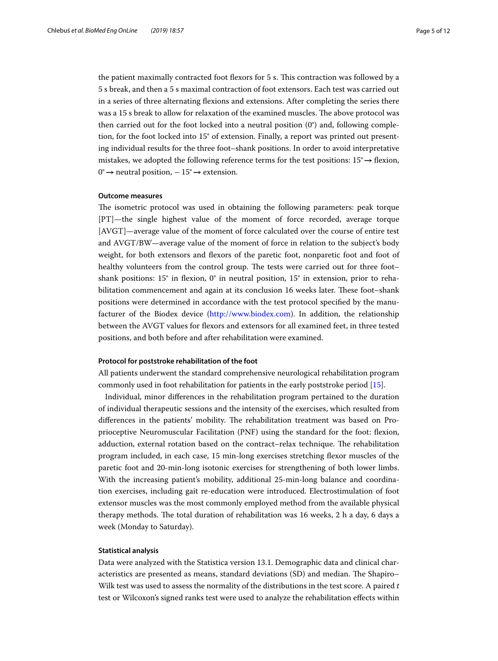the patient maximally contracted foot fexors for 5 s. Tis contraction was followed by a 5 s break, and then a 5 s maximal contraction of foot extensors. Each test was carried out in a series of three alternating fexions and extensions. After completing the series there was a 15 s break to allow for relaxation of the examined muscles. The above protocol was then carried out for the foot locked into a neutral position  $(0^{\circ})$  and, following completion, for the foot locked into 15° of extension. Finally, a report was printed out presenting individual results for the three foot–shank positions. In order to avoid interpretative mistakes, we adopted the following reference terms for the test positions: 15°**→**fexion, 0°**→**neutral position, −15°**→**extension.

## **Outcome measures**

The isometric protocol was used in obtaining the following parameters: peak torque [PT]—the single highest value of the moment of force recorded, average torque [AVGT]—average value of the moment of force calculated over the course of entire test and AVGT/BW—average value of the moment of force in relation to the subject's body weight, for both extensors and fexors of the paretic foot, nonparetic foot and foot of healthy volunteers from the control group. The tests were carried out for three footshank positions: 15° in fexion, 0° in neutral position, 15° in extension, prior to rehabilitation commencement and again at its conclusion 16 weeks later. These foot–shank positions were determined in accordance with the test protocol specifed by the manufacturer of the Biodex device ([http://www.biodex.com\)](http://www.biodex.com). In addition, the relationship between the AVGT values for fexors and extensors for all examined feet, in three tested positions, and both before and after rehabilitation were examined.

### **Protocol for poststroke rehabilitation of the foot**

All patients underwent the standard comprehensive neurological rehabilitation program commonly used in foot rehabilitation for patients in the early poststroke period [[15\]](#page-11-3).

Individual, minor diferences in the rehabilitation program pertained to the duration of individual therapeutic sessions and the intensity of the exercises, which resulted from differences in the patients' mobility. The rehabilitation treatment was based on Proprioceptive Neuromuscular Facilitation (PNF) using the standard for the foot: fexion, adduction, external rotation based on the contract–relax technique. The rehabilitation program included, in each case, 15 min-long exercises stretching fexor muscles of the paretic foot and 20-min-long isotonic exercises for strengthening of both lower limbs. With the increasing patient's mobility, additional 25-min-long balance and coordination exercises, including gait re-education were introduced. Electrostimulation of foot extensor muscles was the most commonly employed method from the available physical therapy methods. The total duration of rehabilitation was  $16$  weeks,  $2 h$  a day,  $6$  days a week (Monday to Saturday).

## **Statistical analysis**

Data were analyzed with the Statistica version 13.1. Demographic data and clinical characteristics are presented as means, standard deviations (SD) and median. The Shapiro– Wilk test was used to assess the normality of the distributions in the test score. A paired *t* test or Wilcoxon's signed ranks test were used to analyze the rehabilitation efects within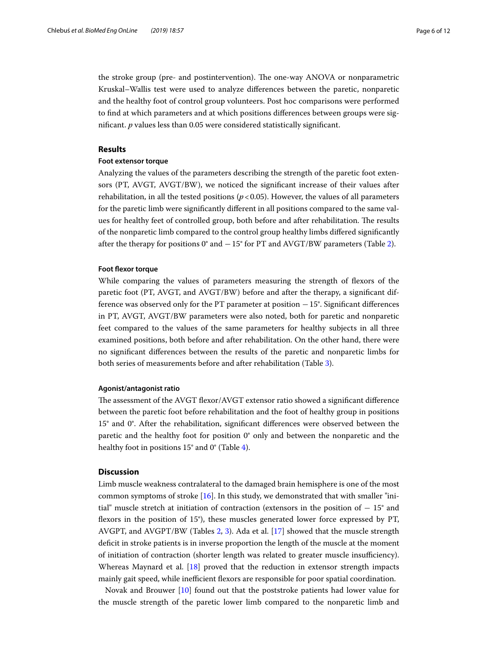the stroke group (pre- and postintervention). The one-way ANOVA or nonparametric Kruskal–Wallis test were used to analyze diferences between the paretic, nonparetic and the healthy foot of control group volunteers. Post hoc comparisons were performed to fnd at which parameters and at which positions diferences between groups were signifcant. *p* values less than 0.05 were considered statistically signifcant.

### **Results**

#### **Foot extensor torque**

Analyzing the values of the parameters describing the strength of the paretic foot extensors (PT, AVGT, AVGT/BW), we noticed the signifcant increase of their values after rehabilitation, in all the tested positions  $(p < 0.05)$ . However, the values of all parameters for the paretic limb were signifcantly diferent in all positions compared to the same values for healthy feet of controlled group, both before and after rehabilitation. The results of the nonparetic limb compared to the control group healthy limbs difered signifcantly after the therapy for positions  $0^{\circ}$  and  $-15^{\circ}$  for PT and AVGT/BW parameters (Table [2](#page-6-0)).

## **Foot flexor torque**

While comparing the values of parameters measuring the strength of fexors of the paretic foot (PT, AVGT, and AVGT/BW) before and after the therapy, a signifcant difference was observed only for the PT parameter at position −15°. Signifcant diferences in PT, AVGT, AVGT/BW parameters were also noted, both for paretic and nonparetic feet compared to the values of the same parameters for healthy subjects in all three examined positions, both before and after rehabilitation. On the other hand, there were no signifcant diferences between the results of the paretic and nonparetic limbs for both series of measurements before and after rehabilitation (Table [3\)](#page-7-0).

#### **Agonist/antagonist ratio**

The assessment of the AVGT flexor/AVGT extensor ratio showed a significant difference between the paretic foot before rehabilitation and the foot of healthy group in positions 15° and 0°. After the rehabilitation, signifcant diferences were observed between the paretic and the healthy foot for position 0° only and between the nonparetic and the healthy foot in positions 15° and 0° (Table [4\)](#page-8-0).

## **Discussion**

Limb muscle weakness contralateral to the damaged brain hemisphere is one of the most common symptoms of stroke [[16\]](#page-11-4). In this study, we demonstrated that with smaller "initial" muscle stretch at initiation of contraction (extensors in the position of − 15° and fexors in the position of 15°), these muscles generated lower force expressed by PT, AVGPT, and AVGPT/BW (Tables [2](#page-6-0), [3](#page-7-0)). Ada et al. [[17](#page-11-5)] showed that the muscle strength defcit in stroke patients is in inverse proportion the length of the muscle at the moment of initiation of contraction (shorter length was related to greater muscle insufciency). Whereas Maynard et al. [[18\]](#page-11-6) proved that the reduction in extensor strength impacts mainly gait speed, while inefficient flexors are responsible for poor spatial coordination.

Novak and Brouwer [\[10](#page-10-9)] found out that the poststroke patients had lower value for the muscle strength of the paretic lower limb compared to the nonparetic limb and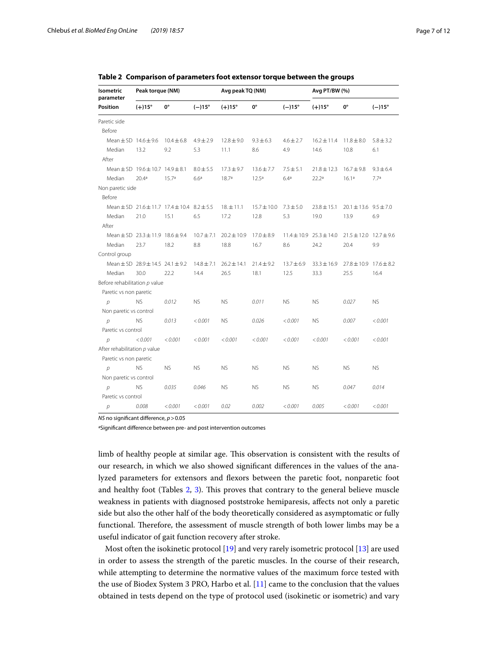| <b>Isometric</b><br>parameter | Peak torque (NM)                 |                                             |                  | Avg peak TQ (NM)  |                   |                  | Avg PT/BW (%)                   |                                |               |
|-------------------------------|----------------------------------|---------------------------------------------|------------------|-------------------|-------------------|------------------|---------------------------------|--------------------------------|---------------|
| <b>Position</b>               | $(+)15^{\circ}$                  | <b>0°</b>                                   | $(-)15^\circ$    | $(+)15^\circ$     | 0°                | $(-)15^\circ$    | $(+)15^\circ$                   | 0°                             | $(-)15^\circ$ |
| Paretic side                  |                                  |                                             |                  |                   |                   |                  |                                 |                                |               |
| Before                        |                                  |                                             |                  |                   |                   |                  |                                 |                                |               |
| Mean $\pm$ SD 14.6 $\pm$ 9.6  |                                  | $10.4 \pm 6.8$                              | $4.9 \pm 2.9$    | $12.8 \pm 9.0$    | $9.3 \pm 6.3$     | $4.6 \pm 2.7$    | $16.2 \pm 11.4$                 | $11.8 \pm 8.0$                 | $5.8 \pm 3.2$ |
| Median                        | 13.2                             | 9.2                                         | 5.3              | 11.1              | 8.6               | 4.9              | 14.6                            | 10.8                           | 6.1           |
| After                         |                                  |                                             |                  |                   |                   |                  |                                 |                                |               |
|                               | Mean ± SD 19.6 ± 10.7 14.9 ± 8.1 |                                             | $8.0 \pm 5.5$    | $17.3 \pm 9.7$    | $13.6 \pm 7.7$    | $7.5 \pm 5.1$    | $21.8 \pm 12.3$                 | $16.7 \pm 9.8$                 | $9.3 \pm 6.4$ |
| Median                        | 20.4 <sup>a</sup>                | 15.7 <sup>a</sup>                           | 6.6 <sup>a</sup> | 18.7 <sup>a</sup> | 12.5 <sup>a</sup> | 6.4 <sup>a</sup> | 22.2 <sup>a</sup>               | 16.1a                          | 7.7a          |
| Non paretic side              |                                  |                                             |                  |                   |                   |                  |                                 |                                |               |
| Before                        |                                  |                                             |                  |                   |                   |                  |                                 |                                |               |
|                               |                                  | Mean ± SD 21.6 ± 11.7 17.4 ± 10.4 8.2 ± 5.5 |                  | $18. \pm 11.1$    | $15.7 \pm 10.0$   | $7.3 \pm 5.0$    | $23.8 \pm 15.1$                 | $20.1 \pm 13.6$ $9.5 \pm 7.0$  |               |
| Median                        | 21.0                             | 15.1                                        | 6.5              | 17.2              | 12.8              | 5.3              | 19.0                            | 13.9                           | 6.9           |
| After                         |                                  |                                             |                  |                   |                   |                  |                                 |                                |               |
|                               | Mean ± SD 23.3 ± 11.9 18.6 ± 9.4 |                                             | $10.7 \pm 7.1$   | $20.2 \pm 10.9$   | $17.0 \pm 8.9$    |                  | $11.4 \pm 10.9$ $25.3 \pm 14.0$ | $21.5 \pm 12.0$ $12.7 \pm 9.6$ |               |
| Median                        | 23.7                             | 18.2                                        | 8.8              | 18.8              | 16.7              | 8.6              | 24.2                            | 20.4                           | 9.9           |
| Control group                 |                                  |                                             |                  |                   |                   |                  |                                 |                                |               |
|                               | Mean ± SD 28.9 ± 14.5 24.1 ± 9.2 |                                             | $14.8 \pm 7.1$   | $26.2 \pm 14.1$   | $21.4 \pm 9.2$    | $13.7 \pm 6.9$   | $33.3 \pm 16.9$                 | $27.8 \pm 10.9$ 17.6 $\pm$ 8.2 |               |
| Median                        | 30.0                             | 22.2                                        | 14.4             | 26.5              | 18.1              | 12.5             | 33.3                            | 25.5                           | 16.4          |
| Before rehabilitation p value |                                  |                                             |                  |                   |                   |                  |                                 |                                |               |
| Paretic vs non paretic        |                                  |                                             |                  |                   |                   |                  |                                 |                                |               |
| $\mathcal{D}$                 | <b>NS</b>                        | 0.012                                       | <b>NS</b>        | <b>NS</b>         | 0.011             | <b>NS</b>        | <b>NS</b>                       | 0.027                          | NS.           |
| Non paretic vs control        |                                  |                                             |                  |                   |                   |                  |                                 |                                |               |
| $\overline{p}$                | <b>NS</b>                        | 0.013                                       | < 0.001          | <b>NS</b>         | 0.026             | < 0.001          | <b>NS</b>                       | 0.007                          | < 0.001       |
| Paretic vs control            |                                  |                                             |                  |                   |                   |                  |                                 |                                |               |
| $\mathcal{D}$                 | < 0.001                          | < 0.001                                     | < 0.001          | < 0.001           | < 0.001           | < 0.001          | < 0.001                         | < 0.001                        | < 0.001       |
| After rehabilitation p value  |                                  |                                             |                  |                   |                   |                  |                                 |                                |               |
| Paretic vs non paretic        |                                  |                                             |                  |                   |                   |                  |                                 |                                |               |
| $\overline{p}$                | <b>NS</b>                        | NS.                                         | NS.              | <b>NS</b>         | NS.               | <b>NS</b>        | <b>NS</b>                       | <b>NS</b>                      | NS.           |
| Non paretic vs control        |                                  |                                             |                  |                   |                   |                  |                                 |                                |               |
| $\overline{p}$                | <b>NS</b>                        | 0.035                                       | 0.046            | <b>NS</b>         | NS.               | <b>NS</b>        | <b>NS</b>                       | 0.047                          | 0.014         |
| Paretic vs control            |                                  |                                             |                  |                   |                   |                  |                                 |                                |               |
| p                             | 0.008                            | < 0.001                                     | < 0.001          | 0.02              | 0.002             | < 0.001          | 0.005                           | < 0.001                        | < 0.001       |

<span id="page-6-0"></span>**Table 2 Comparison of parameters foot extensor torque between the groups**

*NS* no signifcant diference, *p*>0.05

<sup>a</sup>Significant difference between pre- and post intervention outcomes

limb of healthy people at similar age. This observation is consistent with the results of our research, in which we also showed signifcant diferences in the values of the analyzed parameters for extensors and fexors between the paretic foot, nonparetic foot and healthy foot (Tables  $2, 3$  $2, 3$ ). This proves that contrary to the general believe muscle weakness in patients with diagnosed poststroke hemiparesis, afects not only a paretic side but also the other half of the body theoretically considered as asymptomatic or fully functional. Therefore, the assessment of muscle strength of both lower limbs may be a useful indicator of gait function recovery after stroke.

Most often the isokinetic protocol [[19\]](#page-11-7) and very rarely isometric protocol [[13](#page-11-1)] are used in order to assess the strength of the paretic muscles. In the course of their research, while attempting to determine the normative values of the maximum force tested with the use of Biodex System 3 PRO, Harbo et al. [\[11\]](#page-10-10) came to the conclusion that the values obtained in tests depend on the type of protocol used (isokinetic or isometric) and vary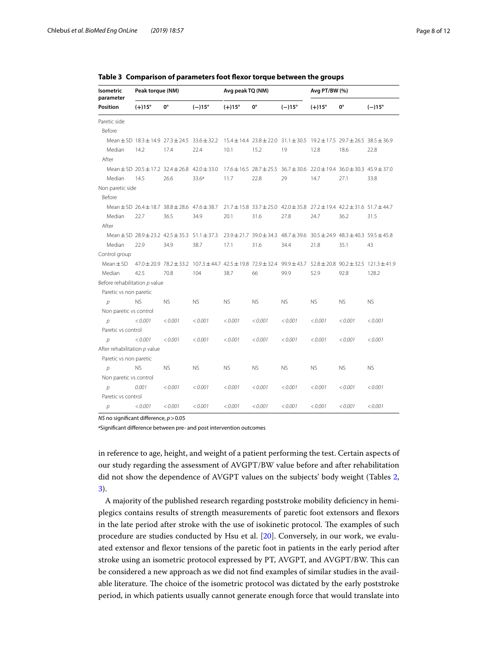| Isometric<br>parameter        | Peak torque (NM) |                                               |                                               | Avg peak TQ (NM) |           |                                                                                                 | Avg PT/BW (%)   |           |                                          |
|-------------------------------|------------------|-----------------------------------------------|-----------------------------------------------|------------------|-----------|-------------------------------------------------------------------------------------------------|-----------------|-----------|------------------------------------------|
| Position                      | $(+)15^\circ$    | 0°                                            | $(-)15^\circ$                                 | $(+)15^{\circ}$  | <b>0°</b> | $(-)15^\circ$                                                                                   | $(+)15^{\circ}$ | <b>0°</b> | $(-)15^\circ$                            |
| Paretic side                  |                  |                                               |                                               |                  |           |                                                                                                 |                 |           |                                          |
| Before                        |                  |                                               |                                               |                  |           |                                                                                                 |                 |           |                                          |
|                               |                  | Mean ± SD 18.3 ± 14.9 27.3 ± 24.5 33.6 ± 32.2 |                                               |                  |           | 15.4 ± 14.4 23.8 ± 22.0 31.1 ± 30.5 19.2 ± 17.5 29.7 ± 26.5 38.5 ± 36.9                         |                 |           |                                          |
| Median                        | 14.2             | 17.4                                          | 22.4                                          | 10.1             | 15.2      | 19                                                                                              | 12.8            | 18.6      | 22.8                                     |
| After                         |                  |                                               |                                               |                  |           |                                                                                                 |                 |           |                                          |
|                               |                  | Mean ± SD 20.5 ± 17.2 32.4 ± 26.8 42.0 ± 33.0 |                                               |                  |           | $17.6 \pm 16.5$ $28.7 \pm 25.5$ $36.7 \pm 30.6$ $22.0 \pm 19.4$ $36.0 \pm 30.3$ $45.9 \pm 37.0$ |                 |           |                                          |
| Median                        | 14.5             | 26.6                                          | 33.6 <sup>a</sup>                             | 11.7             | 22.8      | 29                                                                                              | 14.7            | 27.1      | 33.8                                     |
| Non paretic side              |                  |                                               |                                               |                  |           |                                                                                                 |                 |           |                                          |
| Before                        |                  |                                               |                                               |                  |           |                                                                                                 |                 |           |                                          |
|                               |                  | Mean ± SD 26.4 ± 18.7 38.8 ± 28.6 47.6 ± 38.7 |                                               |                  |           | $21.7 \pm 15.8$ 33.7 $\pm$ 25.0 42.0 $\pm$ 35.8 27.2 $\pm$ 19.4 42.2 $\pm$ 31.6 51.7 $\pm$ 44.7 |                 |           |                                          |
| Median                        | 22.7             | 36.5                                          | 34.9                                          | 20.1             | 31.6      | 27.8                                                                                            | 24.7            | 36.2      | 31.5                                     |
| After                         |                  |                                               |                                               |                  |           |                                                                                                 |                 |           |                                          |
|                               |                  |                                               | Mean ± SD 28.9 ± 23.2 42.5 ± 35.3 51.1 ± 37.3 |                  |           | 23.9±21.7 39.0±34.3 48.7±39.6 30.5±24.9 48.3±40.3 59.5±45.8                                     |                 |           |                                          |
| Median                        | 22.9             | 34.9                                          | 38.7                                          | 17.1             | 31.6      | 34.4                                                                                            | 21.8            | 35.1      | 43                                       |
| Control group                 |                  |                                               |                                               |                  |           |                                                                                                 |                 |           |                                          |
| $Mean \pm SD$                 |                  | $47.0 \pm 20.9$ 78.2 $\pm$ 33.2               | 107.3±44.7 42.5±19.8 72.9±32.4                |                  |           |                                                                                                 |                 |           | 99.9±43.7 52.8±20.8 90.2±32.5 121.3±41.9 |
| Median                        | 42.5             | 70.8                                          | 104                                           | 38.7             | 66        | 99.9                                                                                            | 52.9            | 92.8      | 128.2                                    |
| Before rehabilitation p value |                  |                                               |                                               |                  |           |                                                                                                 |                 |           |                                          |
| Paretic vs non paretic        |                  |                                               |                                               |                  |           |                                                                                                 |                 |           |                                          |
| $\mathcal{D}$                 | <b>NS</b>        | <b>NS</b>                                     | <b>NS</b>                                     | <b>NS</b>        | <b>NS</b> | <b>NS</b>                                                                                       | <b>NS</b>       | <b>NS</b> | <b>NS</b>                                |
| Non paretic vs control        |                  |                                               |                                               |                  |           |                                                                                                 |                 |           |                                          |
| $\mathcal{D}$                 | < 0.001          | < 0.001                                       | < 0.001                                       | < 0.001          | < 0.001   | < 0.001                                                                                         | < 0.001         | < 0.001   | < 0.001                                  |
| Paretic vs control            |                  |                                               |                                               |                  |           |                                                                                                 |                 |           |                                          |
| $\mathcal{D}$                 | < 0.001          | < 0.001                                       | < 0.001                                       | < 0.001          | < 0.001   | < 0.001                                                                                         | < 0.001         | < 0.001   | < 0.001                                  |
| After rehabilitation p value  |                  |                                               |                                               |                  |           |                                                                                                 |                 |           |                                          |
| Paretic vs non paretic        |                  |                                               |                                               |                  |           |                                                                                                 |                 |           |                                          |
| $\mathcal{D}$                 | <b>NS</b>        | NS.                                           | <b>NS</b>                                     | <b>NS</b>        | <b>NS</b> | NS.                                                                                             | <b>NS</b>       | NS.       | NS.                                      |
| Non paretic vs control        |                  |                                               |                                               |                  |           |                                                                                                 |                 |           |                                          |
| $\mathcal{D}$                 | 0.001            | < 0.001                                       | < 0.001                                       | < 0.001          | < 0.001   | < 0.001                                                                                         | < 0.001         | < 0.001   | < 0.001                                  |
| Paretic vs control            |                  |                                               |                                               |                  |           |                                                                                                 |                 |           |                                          |
| p                             | < 0.001          | < 0.001                                       | < 0.001                                       | < 0.001          | < 0.001   | < 0.001                                                                                         | < 0.001         | < 0.001   | < 0.001                                  |

<span id="page-7-0"></span>**Table 3 Comparison of parameters foot fexor torque between the groups**

*NS* no signifcant diference, *p*>0.05

<sup>a</sup>Significant difference between pre- and post intervention outcomes

in reference to age, height, and weight of a patient performing the test. Certain aspects of our study regarding the assessment of AVGPT/BW value before and after rehabilitation did not show the dependence of AVGPT values on the subjects' body weight (Tables [2](#page-6-0), [3\)](#page-7-0).

A majority of the published research regarding poststroke mobility defciency in hemiplegics contains results of strength measurements of paretic foot extensors and fexors in the late period after stroke with the use of isokinetic protocol. The examples of such procedure are studies conducted by Hsu et al. [[20\]](#page-11-8). Conversely, in our work, we evaluated extensor and fexor tensions of the paretic foot in patients in the early period after stroke using an isometric protocol expressed by PT, AVGPT, and AVGPT/BW. This can be considered a new approach as we did not fnd examples of similar studies in the available literature. The choice of the isometric protocol was dictated by the early poststroke period, in which patients usually cannot generate enough force that would translate into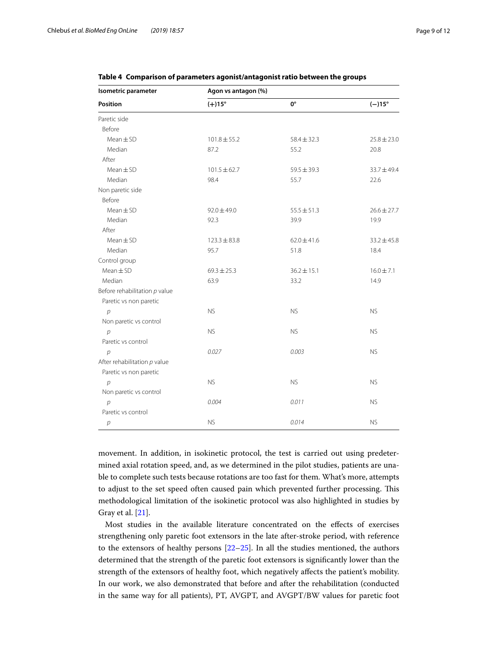| Isometric parameter            | Agon vs antagon (%) |                 |                 |  |  |  |  |
|--------------------------------|---------------------|-----------------|-----------------|--|--|--|--|
| <b>Position</b>                | $(+)15^\circ$       | $0^{\circ}$     | $(-)15^\circ$   |  |  |  |  |
| Paretic side                   |                     |                 |                 |  |  |  |  |
| Before                         |                     |                 |                 |  |  |  |  |
| $Mean \pm SD$                  | $101.8 \pm 55.2$    | $58.4 \pm 32.3$ | $25.8 \pm 23.0$ |  |  |  |  |
| Median                         | 87.2                | 55.2            | 20.8            |  |  |  |  |
| After                          |                     |                 |                 |  |  |  |  |
| $Mean \pm SD$                  | $101.5 \pm 62.7$    | $59.5 \pm 39.3$ | 33.7±49.4       |  |  |  |  |
| Median                         | 98.4                | 55.7            | 22.6            |  |  |  |  |
| Non paretic side               |                     |                 |                 |  |  |  |  |
| Before                         |                     |                 |                 |  |  |  |  |
| $Mean \pm SD$                  | $92.0 \pm 49.0$     | $55.5 \pm 51.3$ | $26.6 \pm 27.7$ |  |  |  |  |
| Median                         | 92.3                | 39.9            | 19.9            |  |  |  |  |
| After                          |                     |                 |                 |  |  |  |  |
| $Mean \pm SD$                  | $123.3 \pm 83.8$    | $62.0 \pm 41.6$ | $33.2 \pm 45.8$ |  |  |  |  |
| Median                         | 95.7                | 51.8            | 18.4            |  |  |  |  |
| Control group                  |                     |                 |                 |  |  |  |  |
| $Mean \pm SD$                  | $69.3 \pm 25.3$     | $36.2 \pm 15.1$ | $16.0 \pm 7.1$  |  |  |  |  |
| Median                         | 63.9                | 33.2            | 14.9            |  |  |  |  |
| Before rehabilitation p value  |                     |                 |                 |  |  |  |  |
| Paretic vs non paretic         |                     |                 |                 |  |  |  |  |
| $\overline{p}$                 | NS.                 | <b>NS</b>       | <b>NS</b>       |  |  |  |  |
| Non paretic vs control         |                     |                 |                 |  |  |  |  |
| $\overline{p}$                 | <b>NS</b>           | <b>NS</b>       | <b>NS</b>       |  |  |  |  |
| Paretic vs control             |                     |                 |                 |  |  |  |  |
| $\overline{p}$                 | 0.027               | 0.003           | <b>NS</b>       |  |  |  |  |
| After rehabilitation $p$ value |                     |                 |                 |  |  |  |  |
| Paretic vs non paretic         |                     |                 |                 |  |  |  |  |
| $\overline{p}$                 | <b>NS</b>           | <b>NS</b>       | <b>NS</b>       |  |  |  |  |
| Non paretic vs control         |                     |                 |                 |  |  |  |  |
| $\overline{p}$                 | 0.004               | 0.011           | <b>NS</b>       |  |  |  |  |
| Paretic vs control             |                     |                 |                 |  |  |  |  |
| $\,p\,$                        | <b>NS</b>           | 0.014           | <b>NS</b>       |  |  |  |  |

<span id="page-8-0"></span>

| Table 4 Comparison of parameters agonist/antagonist ratio between the groups |  |  |
|------------------------------------------------------------------------------|--|--|
|------------------------------------------------------------------------------|--|--|

movement. In addition, in isokinetic protocol, the test is carried out using predetermined axial rotation speed, and, as we determined in the pilot studies, patients are unable to complete such tests because rotations are too fast for them. What's more, attempts to adjust to the set speed often caused pain which prevented further processing. Tis methodological limitation of the isokinetic protocol was also highlighted in studies by Gray et al. [[21](#page-11-9)].

Most studies in the available literature concentrated on the efects of exercises strengthening only paretic foot extensors in the late after-stroke period, with reference to the extensors of healthy persons [[22](#page-11-10)[–25](#page-11-11)]. In all the studies mentioned, the authors determined that the strength of the paretic foot extensors is signifcantly lower than the strength of the extensors of healthy foot, which negatively afects the patient's mobility. In our work, we also demonstrated that before and after the rehabilitation (conducted in the same way for all patients), PT, AVGPT, and AVGPT/BW values for paretic foot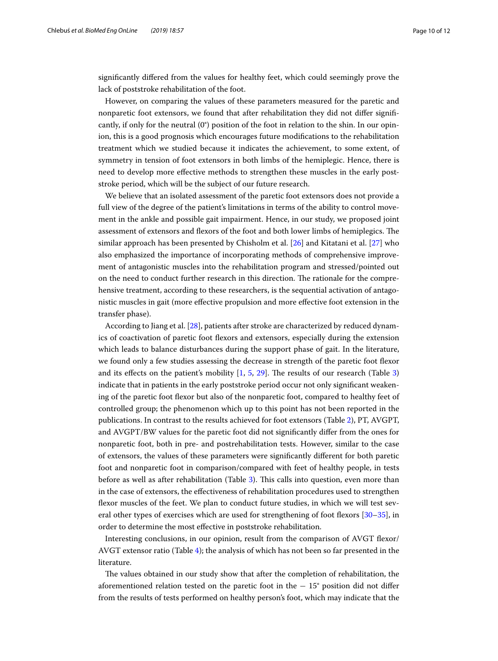signifcantly difered from the values for healthy feet, which could seemingly prove the lack of poststroke rehabilitation of the foot.

However, on comparing the values of these parameters measured for the paretic and nonparetic foot extensors, we found that after rehabilitation they did not difer signifcantly, if only for the neutral  $(0^{\circ})$  position of the foot in relation to the shin. In our opinion, this is a good prognosis which encourages future modifcations to the rehabilitation treatment which we studied because it indicates the achievement, to some extent, of symmetry in tension of foot extensors in both limbs of the hemiplegic. Hence, there is need to develop more efective methods to strengthen these muscles in the early poststroke period, which will be the subject of our future research.

We believe that an isolated assessment of the paretic foot extensors does not provide a full view of the degree of the patient's limitations in terms of the ability to control movement in the ankle and possible gait impairment. Hence, in our study, we proposed joint assessment of extensors and flexors of the foot and both lower limbs of hemiplegics. The similar approach has been presented by Chisholm et al. [\[26](#page-11-12)] and Kitatani et al. [[27](#page-11-13)] who also emphasized the importance of incorporating methods of comprehensive improvement of antagonistic muscles into the rehabilitation program and stressed/pointed out on the need to conduct further research in this direction. The rationale for the comprehensive treatment, according to these researchers, is the sequential activation of antagonistic muscles in gait (more efective propulsion and more efective foot extension in the transfer phase).

According to Jiang et al. [\[28\]](#page-11-14), patients after stroke are characterized by reduced dynamics of coactivation of paretic foot fexors and extensors, especially during the extension which leads to balance disturbances during the support phase of gait. In the literature, we found only a few studies assessing the decrease in strength of the paretic foot fexor and its effects on the patient's mobility  $[1, 5, 29]$  $[1, 5, 29]$  $[1, 5, 29]$  $[1, 5, 29]$  $[1, 5, 29]$ . The results of our research (Table [3](#page-7-0)) indicate that in patients in the early poststroke period occur not only signifcant weakening of the paretic foot fexor but also of the nonparetic foot, compared to healthy feet of controlled group; the phenomenon which up to this point has not been reported in the publications. In contrast to the results achieved for foot extensors (Table [2\)](#page-6-0), PT, AVGPT, and AVGPT/BW values for the paretic foot did not signifcantly difer from the ones for nonparetic foot, both in pre- and postrehabilitation tests. However, similar to the case of extensors, the values of these parameters were signifcantly diferent for both paretic foot and nonparetic foot in comparison/compared with feet of healthy people, in tests before as well as after rehabilitation (Table [3](#page-7-0)). This calls into question, even more than in the case of extensors, the efectiveness of rehabilitation procedures used to strengthen fexor muscles of the feet. We plan to conduct future studies, in which we will test several other types of exercises which are used for strengthening of foot fexors [[30–](#page-11-16)[35](#page-11-17)], in order to determine the most efective in poststroke rehabilitation.

Interesting conclusions, in our opinion, result from the comparison of AVGT fexor/ AVGT extensor ratio (Table [4](#page-8-0)); the analysis of which has not been so far presented in the literature.

The values obtained in our study show that after the completion of rehabilitation, the aforementioned relation tested on the paretic foot in the − 15° position did not difer from the results of tests performed on healthy person's foot, which may indicate that the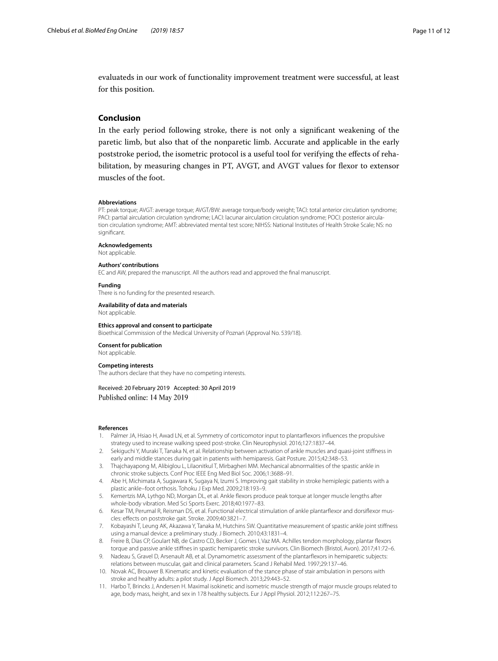evaluateds in our work of functionality improvement treatment were successful, at least for this position.

## **Conclusion**

In the early period following stroke, there is not only a signifcant weakening of the paretic limb, but also that of the nonparetic limb. Accurate and applicable in the early poststroke period, the isometric protocol is a useful tool for verifying the efects of rehabilitation, by measuring changes in PT, AVGT, and AVGT values for fexor to extensor muscles of the foot.

#### **Abbreviations**

PT: peak torque; AVGT: average torque; AVGT/BW: average torque/body weight; TACI: total anterior circulation syndrome; PACI: partial airculation circulation syndrome; LACI: lacunar airculation circulation syndrome; POCI: posterior airculation circulation syndrome; AMT: abbreviated mental test score; NIHSS: National Institutes of Health Stroke Scale; NS: no signifcant.

#### **Acknowledgements**

Not applicable.

#### **Authors' contributions**

EC and AW, prepared the manuscript. All the authors read and approved the fnal manuscript.

#### **Funding**

There is no funding for the presented research.

#### **Availability of data and materials**

Not applicable.

#### **Ethics approval and consent to participate**

Bioethical Commission of the Medical University of Poznań (Approval No. 539/18).

**Consent for publication** Not applicable.

#### **Competing interests**

The authors declare that they have no competing interests.

Received: 20 February 2019 Accepted: 30 April 2019 Published online: 14 May 2019

#### **References**

- <span id="page-10-0"></span>1. Palmer JA, Hsiao H, Awad LN, et al. Symmetry of corticomotor input to plantarfexors infuences the propulsive strategy used to increase walking speed post-stroke. Clin Neurophysiol. 2016;127:1837–44.
- <span id="page-10-1"></span>2. Sekiguchi Y, Muraki T, Tanaka N, et al. Relationship between activation of ankle muscles and quasi-joint stifness in early and middle stances during gait in patients with hemiparesis. Gait Posture. 2015;42:348–53.
- <span id="page-10-2"></span>3. Thajchayapong M, Alibiglou L, Lilaonitkul T, Mirbagheri MM. Mechanical abnormalities of the spastic ankle in chronic stroke subjects. Conf Proc IEEE Eng Med Biol Soc. 2006;1:3688–91.
- <span id="page-10-3"></span>4. Abe H, Michimata A, Sugawara K, Sugaya N, Izumi S. Improving gait stability in stroke hemiplegic patients with a plastic ankle–foot orthosis. Tohoku J Exp Med. 2009;218:193–9.
- <span id="page-10-4"></span>5. Kemertzis MA, Lythgo ND, Morgan DL, et al. Ankle fexors produce peak torque at longer muscle lengths after whole-body vibration. Med Sci Sports Exerc. 2018;40:1977–83.
- <span id="page-10-5"></span>6. Kesar TM, Perumal R, Reisman DS, et al. Functional electrical stimulation of ankle plantarfexor and dorsifexor mus‑ cles: effects on poststroke gait. Stroke. 2009;40:3821-7.
- <span id="page-10-6"></span>7. Kobayashi T, Leung AK, Akazawa Y, Tanaka M, Hutchins SW. Quantitative measurement of spastic ankle joint stifness using a manual device: a preliminary study. J Biomech. 2010;43:1831–4.
- <span id="page-10-7"></span>8. Freire B, Dias CP, Goulart NB, de Castro CD, Becker J, Gomes I, Vaz MA. Achilles tendon morphology, plantar fexors torque and passive ankle stifnes in spastic hemiparetic stroke survivors. Clin Biomech (Bristol, Avon). 2017;41:72–6.
- <span id="page-10-8"></span>9. Nadeau S, Gravel D, Arsenault AB, et al. Dynamometric assessment of the plantarfexors in hemiparetic subjects: relations between muscular, gait and clinical parameters. Scand J Rehabil Med. 1997;29:137–46.
- <span id="page-10-9"></span>10. Novak AC, Brouwer B. Kinematic and kinetic evaluation of the stance phase of stair ambulation in persons with stroke and healthy adults: a pilot study. J Appl Biomech. 2013;29:443–52.
- <span id="page-10-10"></span>11. Harbo T, Brincks J, Andersen H. Maximal isokinetic and isometric muscle strength of major muscle groups related to age, body mass, height, and sex in 178 healthy subjects. Eur J Appl Physiol. 2012;112:267–75.